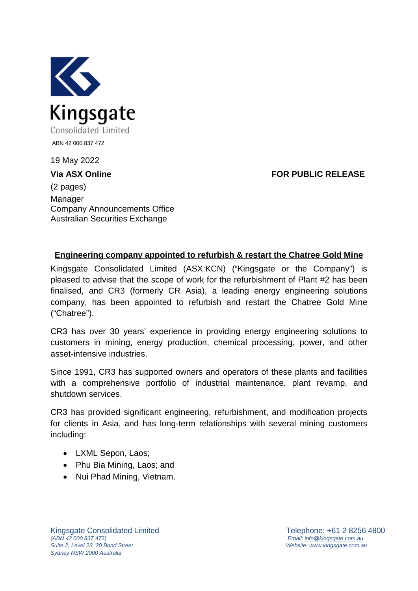

19 May 2022

**Via ASX Online FOR PUBLIC RELEASE**

(2 pages) Manager Company Announcements Office Australian Securities Exchange

## **Engineering company appointed to refurbish & restart the Chatree Gold Mine**

Kingsgate Consolidated Limited (ASX:KCN) ("Kingsgate or the Company") is pleased to advise that the scope of work for the refurbishment of Plant #2 has been finalised, and CR3 (formerly CR Asia), a leading energy engineering solutions company, has been appointed to refurbish and restart the Chatree Gold Mine ("Chatree").

CR3 has over 30 years' experience in providing energy engineering solutions to customers in mining, energy production, chemical processing, power, and other asset-intensive industries.

Since 1991, CR3 has supported owners and operators of these plants and facilities with a comprehensive portfolio of industrial maintenance, plant revamp, and shutdown services.

CR3 has provided significant engineering, refurbishment, and modification projects for clients in Asia, and has long-term relationships with several mining customers including:

- LXML Sepon, Laos;
- Phu Bia Mining, Laos; and
- Nui Phad Mining, Vietnam.